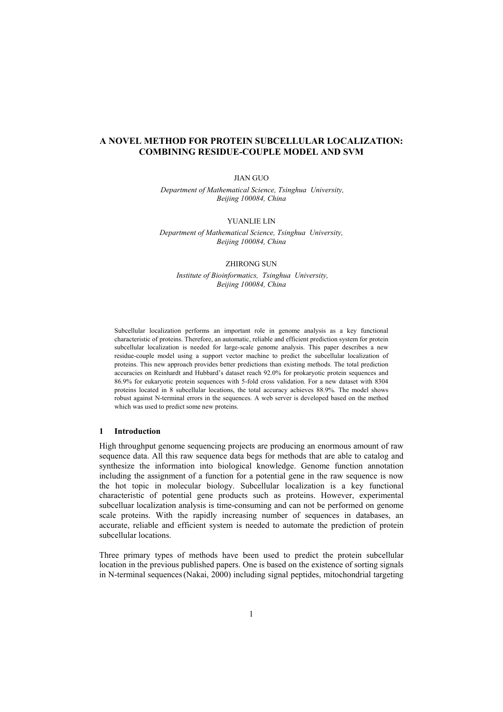# **A NOVEL METHOD FOR PROTEIN SUBCELLULAR LOCALIZATION: COMBINING RESIDUE-COUPLE MODEL AND SVM**

#### JIAN GUO

 *Department of Mathematical Science, Tsinghua University, Beijing 100084, China*

### YUANLIE LIN

*Department of Mathematical Science, Tsinghua University, Beijing 100084, China* 

### ZHIRONG SUN

 *Institute of Bioinformatics, Tsinghua University, Beijing 100084, China*

Subcellular localization performs an important role in genome analysis as a key functional characteristic of proteins. Therefore, an automatic, reliable and efficient prediction system for protein subcellular localization is needed for large-scale genome analysis. This paper describes a new residue-couple model using a support vector machine to predict the subcellular localization of proteins. This new approach provides better predictions than existing methods. The total prediction accuracies on Reinhardt and Hubbard's dataset reach 92.0% for prokaryotic protein sequences and 86.9% for eukaryotic protein sequences with 5-fold cross validation. For a new dataset with 8304 proteins located in 8 subcellular locations, the total accuracy achieves 88.9%. The model shows robust against N-terminal errors in the sequences. A web server is developed based on the method which was used to predict some new proteins.

## **1 Introduction**

High throughput genome sequencing projects are producing an enormous amount of raw sequence data. All this raw sequence data begs for methods that are able to catalog and synthesize the information into biological knowledge. Genome function annotation including the assignment of a function for a potential gene in the raw sequence is now the hot topic in molecular biology. Subcellular localization is a key functional characteristic of potential gene products such as proteins. However, experimental subcelluar localization analysis is time-consuming and can not be performed on genome scale proteins. With the rapidly increasing number of sequences in databases, an accurate, reliable and efficient system is needed to automate the prediction of protein subcellular locations.

Three primary types of methods have been used to predict the protein subcellular location in the previous published papers. One is based on the existence of sorting signals in N-terminal sequences(Nakai, 2000) including signal peptides, mitochondrial targeting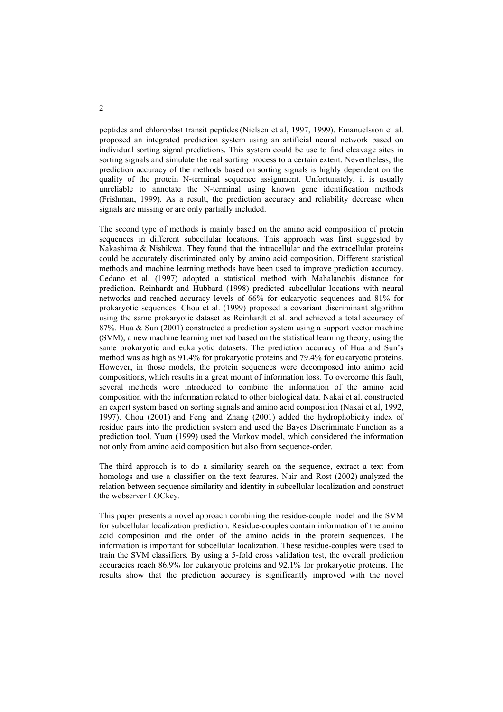peptides and chloroplast transit peptides (Nielsen et al, 1997, 1999). Emanuelsson et al. proposed an integrated prediction system using an artificial neural network based on individual sorting signal predictions. This system could be use to find cleavage sites in sorting signals and simulate the real sorting process to a certain extent. Nevertheless, the prediction accuracy of the methods based on sorting signals is highly dependent on the quality of the protein N-terminal sequence assignment. Unfortunately, it is usually unreliable to annotate the N-terminal using known gene identification methods (Frishman, 1999). As a result, the prediction accuracy and reliability decrease when signals are missing or are only partially included.

The second type of methods is mainly based on the amino acid composition of protein sequences in different subcellular locations. This approach was first suggested by Nakashima & Nishikwa. They found that the intracellular and the extracellular proteins could be accurately discriminated only by amino acid composition. Different statistical methods and machine learning methods have been used to improve prediction accuracy. Cedano et al. (1997) adopted a statistical method with Mahalanobis distance for prediction. Reinhardt and Hubbard (1998) predicted subcellular locations with neural networks and reached accuracy levels of 66% for eukaryotic sequences and 81% for prokaryotic sequences. Chou et al. (1999) proposed a covariant discriminant algorithm using the same prokaryotic dataset as Reinhardt et al. and achieved a total accuracy of 87%. Hua & Sun (2001) constructed a prediction system using a support vector machine (SVM), a new machine learning method based on the statistical learning theory, using the same prokaryotic and eukaryotic datasets. The prediction accuracy of Hua and Sun's method was as high as 91.4% for prokaryotic proteins and 79.4% for eukaryotic proteins. However, in those models, the protein sequences were decomposed into animo acid compositions, which results in a great mount of information loss. To overcome this fault, several methods were introduced to combine the information of the amino acid composition with the information related to other biological data. Nakai et al. constructed an expert system based on sorting signals and amino acid composition (Nakai et al, 1992, 1997). Chou (2001) and Feng and Zhang (2001) added the hydrophobicity index of residue pairs into the prediction system and used the Bayes Discriminate Function as a prediction tool. Yuan (1999) used the Markov model, which considered the information not only from amino acid composition but also from sequence-order.

The third approach is to do a similarity search on the sequence, extract a text from homologs and use a classifier on the text features. Nair and Rost (2002) analyzed the relation between sequence similarity and identity in subcellular localization and construct the webserver LOCkey.

This paper presents a novel approach combining the residue-couple model and the SVM for subcellular localization prediction. Residue-couples contain information of the amino acid composition and the order of the amino acids in the protein sequences. The information is important for subcellular localization. These residue-couples were used to train the SVM classifiers. By using a 5-fold cross validation test, the overall prediction accuracies reach 86.9% for eukaryotic proteins and 92.1% for prokaryotic proteins. The results show that the prediction accuracy is significantly improved with the novel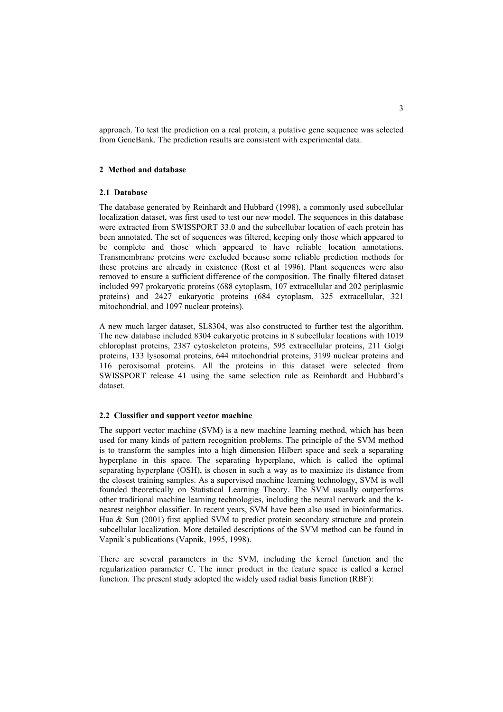approach. To test the prediction on a real protein, a putative gene sequence was selected from GeneBank. The prediction results are consistent with experimental data.

### **2 Method and database**

## **2.1 Database**

The database generated by Reinhardt and Hubbard (1998), a commonly used subcellular localization dataset, was first used to test our new model. The sequences in this database were extracted from SWISSPORT 33.0 and the subcellubar location of each protein has been annotated. The set of sequences was filtered, keeping only those which appeared to be complete and those which appeared to have reliable location annotations. Transmembrane proteins were excluded because some reliable prediction methods for these proteins are already in existence (Rost et al 1996). Plant sequences were also removed to ensure a sufficient difference of the composition. The finally filtered dataset included 997 prokaryotic proteins (688 cytoplasm, 107 extracellular and 202 periplasmic proteins) and 2427 eukaryotic proteins (684 cytoplasm, 325 extracellular, 321 mitochondrial, and 1097 nuclear proteins).

A new much larger dataset, SL8304, was also constructed to further test the algorithm. The new database included 8304 eukaryotic proteins in 8 subcellular locations with 1019 chloroplast proteins, 2387 cytoskeleton proteins, 595 extracellular proteins, 211 Golgi proteins, 133 lysosomal proteins, 644 mitochondrial proteins, 3199 nuclear proteins and 116 peroxisomal proteins. All the proteins in this dataset were selected from SWISSPORT release 41 using the same selection rule as Reinhardt and Hubbard's dataset.

#### **2.2 Classifier and support vector machine**

The support vector machine (SVM) is a new machine learning method, which has been used for many kinds of pattern recognition problems. The principle of the SVM method is to transform the samples into a high dimension Hilbert space and seek a separating hyperplane in this space. The separating hyperplane, which is called the optimal separating hyperplane (OSH), is chosen in such a way as to maximize its distance from the closest training samples. As a supervised machine learning technology, SVM is well founded theoretically on Statistical Learning Theory. The SVM usually outperforms other traditional machine learning technologies, including the neural network and the knearest neighbor classifier. In recent years, SVM have been also used in bioinformatics. Hua & Sun (2001) first applied SVM to predict protein secondary structure and protein subcellular localization. More detailed descriptions of the SVM method can be found in Vapnik's publications (Vapnik, 1995, 1998).

There are several parameters in the SVM, including the kernel function and the regularization parameter C. The inner product in the feature space is called a kernel function. The present study adopted the widely used radial basis function (RBF):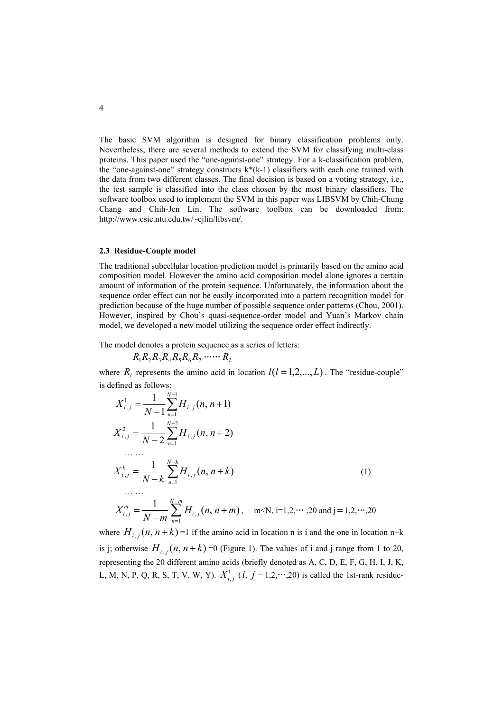The basic SVM algorithm is designed for binary classification problems only. Nevertheless, there are several methods to extend the SVM for classifying multi-class proteins. This paper used the "one-against-one" strategy. For a k-classification problem, the "one-against-one" strategy constructs  $k^*(k-1)$  classifiers with each one trained with the data from two different classes. The final decision is based on a voting strategy, i.e., the test sample is classified into the class chosen by the most binary classifiers. The software toolbox used to implement the SVM in this paper was LIBSVM by Chih-Chung Chang and [Chih-Jen Lin.](http://www.csie.ntu.edu.tw/~cjlin) The software toolbox can be downloaded from: http://www.csie.ntu.edu.tw/~cjlin/libsvm/.

### **2.3 Residue-Couple model**

The traditional subcellular location prediction model is primarily based on the amino acid composition model. However the amino acid composition model alone ignores a certain amount of information of the protein sequence. Unfortunately, the information about the sequence order effect can not be easily incorporated into a pattern recognition model for prediction because of the huge number of possible sequence order patterns (Chou, 2001). However, inspired by Chou's quasi-sequence-order model and Yuan's Markov chain model, we developed a new model utilizing the sequence order effect indirectly.

The model denotes a protein sequence as a series of letters:

$$
R_1R_2R_3R_4R_5R_6R_7\cdots\cdots R_L
$$

where  $R_l$  represents the amino acid in location  $l(l = 1, 2, ..., L)$ . The "residue-couple" is defined as follows:

$$
X_{i,j}^{1} = \frac{1}{N-1} \sum_{n=1}^{N-1} H_{i,j}(n, n+1)
$$
  
\n
$$
X_{i,j}^{2} = \frac{1}{N-2} \sum_{n=1}^{N-2} H_{i,j}(n, n+2)
$$
  
\n...\n
$$
X_{i,j}^{k} = \frac{1}{N-k} \sum_{n=1}^{N-k} H_{i,j}(n, n+k)
$$
  
\n...\n...\n
$$
X_{i,j}^{m} = \frac{1}{N-m} \sum_{n=1}^{N-m} H_{i,j}(n, n+m), \quad m \le N, i=1,2,\dots,20 \text{ and } j=1,2,\dots,20
$$

where  $H_{i,j}(n, n+k) = 1$  if the amino acid in location n is i and the one in location n+k is j; otherwise  $H_{i,j}(n, n+k) = 0$  (Figure 1). The values of i and j range from 1 to 20, representing the 20 different amino acids (briefly denoted as A, C, D, E, F, G, H, I, J, K, L, M, N, P, Q, R, S, T, V, W, Y).  $X_{i,j}^1$  (*i*, *j* = 1,2,…,20) is called the 1st-rank residue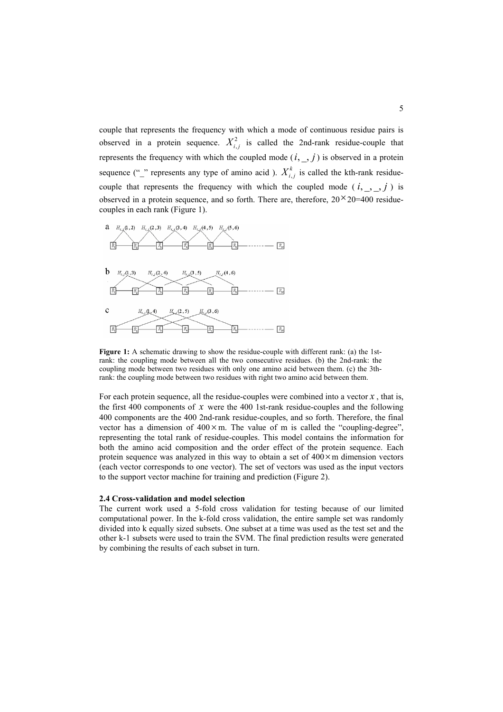couple that represents the frequency with which a mode of continuous residue pairs is observed in a protein sequence.  $X_{i,j}^2$  is called the 2nd-rank residue-couple that represents the frequency with which the coupled mode  $(i, j)$  is observed in a protein sequence (" $\frac{1}{n}$ " represents any type of amino acid ).  $X_{i,j}^k$  is called the kth-rank residuecouple that represents the frequency with which the coupled mode  $(i, j, j)$  is observed in a protein sequence, and so forth. There are, therefore,  $20 \times 20 = 400$  residuecouples in each rank (Figure 1).



**Figure 1:** A schematic drawing to show the residue-couple with different rank: (a) the 1strank: the coupling mode between all the two consecutive residues. (b) the 2nd-rank: the coupling mode between two residues with only one amino acid between them. (c) the 3thrank: the coupling mode between two residues with right two amino acid between them.

For each protein sequence, all the residue-couples were combined into a vector  $x$ , that is, the first 400 components of  $x$  were the 400 1st-rank residue-couples and the following 400 components are the 400 2nd-rank residue-couples, and so forth. Therefore, the final vector has a dimension of  $400 \times m$ . The value of m is called the "coupling-degree", representing the total rank of residue-couples. This model contains the information for both the amino acid composition and the order effect of the protein sequence. Each protein sequence was analyzed in this way to obtain a set of  $400 \times m$  dimension vectors (each vector corresponds to one vector). The set of vectors was used as the input vectors to the support vector machine for training and prediction (Figure 2).

#### **2.4 Cross-validation and model selection**

The current work used a 5-fold cross validation for testing because of our limited computational power. In the k-fold cross validation, the entire sample set was randomly divided into k equally sized subsets. One subset at a time was used as the test set and the other k-1 subsets were used to train the SVM. The final prediction results were generated by combining the results of each subset in turn.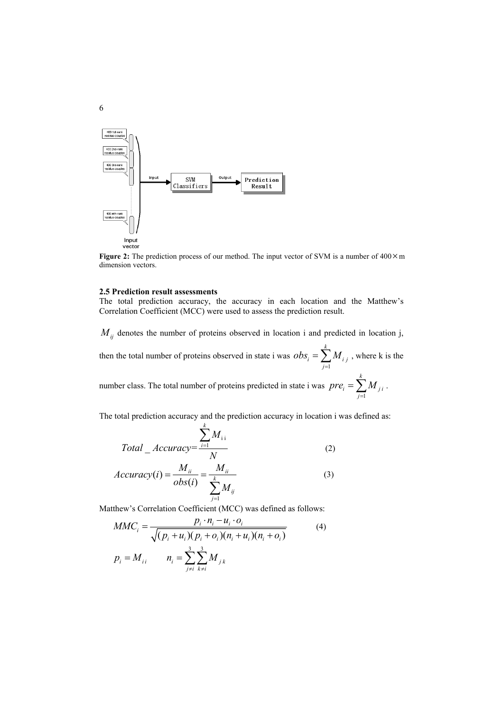

**Figure 2:** The prediction process of our method. The input vector of SVM is a number of 400  $\times$  m dimension vectors.

## **2.5 Prediction result assessments**

The total prediction accuracy, the accuracy in each location and the Matthew's Correlation Coefficient (MCC) were used to assess the prediction result.

 $M_{ij}$  denotes the number of proteins observed in location i and predicted in location j,

then the total number of proteins observed in state i was  $obs_i = \sum M_{i,i}$ , where k is the 1 *k*  $i = \sum_{i}^{M} i$ *j*  $obs_i = \sum M$  $=\sum_{j=1}^{n} M_{i,j}$ 

number class. The total number of proteins predicted in state i was  $pre_i = \sum M_{ji}$ 1 *k*  $i = \sum_i^{\mathbf{M}} j$ *j*  $pre_{i} = \sum M$  $\sum_{j=1}^n M_{j,i}$  .

The total prediction accuracy and the prediction accuracy in location i was defined as:

$$
Total\_Accuracy = \frac{\sum_{i=1}^{k} M_{i}}{N}
$$
 (2)

$$
Accuracy(i) = \frac{M_{ii}}{obs(i)} = \frac{M_{ii}}{\sum_{j=1}^{k} M_{ij}}
$$
(3)

Matthew's Correlation Coefficient (MCC) was defined as follows:

$$
MMC_i = \frac{p_i \cdot n_i - u_i \cdot o_i}{\sqrt{(p_i + u_i)(p_i + o_i)(n_i + u_i)(n_i + o_i)}}
$$
(4)  

$$
p_i = M_{ii} \qquad n_i = \sum_{j \neq i}^{3} \sum_{k \neq i}^{3} M_{jk}
$$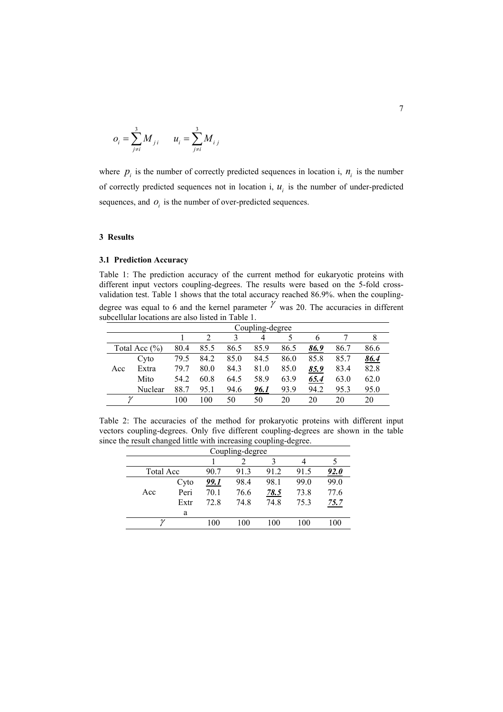$$
o_i = \sum_{j \neq i}^{3} M_{ji} \qquad u_i = \sum_{j \neq i}^{3} M_{ij}
$$

where  $p_i$  is the number of correctly predicted sequences in location i,  $n_i$  is the number of correctly predicted sequences not in location i,  $u_i$  is the number of under-predicted sequences, and  $o_i$  is the number of over-predicted sequences.

# **3 Results**

## **3.1 Prediction Accuracy**

Table 1: The prediction accuracy of the current method for eukaryotic proteins with different input vectors coupling-degrees. The results were based on the 5-fold crossvalidation test. Table 1 shows that the total accuracy reached 86.9%. when the couplingdegree was equal to 6 and the kernel parameter  $\gamma$  was 20. The accuracies in different subcellular locations are also listed in Table 1.

|                   |         |      | Coupling-degree |      |      |      |      |      |      |  |
|-------------------|---------|------|-----------------|------|------|------|------|------|------|--|
|                   |         |      |                 |      |      |      | 6    |      | 8    |  |
| Total Acc $(\% )$ |         | 80.4 | 85.5            | 86.5 | 85.9 | 86.5 | 86.9 | 86.7 | 86.6 |  |
|                   | Cyto    | 79.5 | 84.2            | 85.0 | 84.5 | 86.0 | 85.8 | 85.7 | 86.4 |  |
| Acc               | Extra   | 79 7 | 80.0            | 84.3 | 81.0 | 85.0 | 85.9 | 83.4 | 82.8 |  |
|                   | Mito    | 54.2 | 60.8            | 64.5 | 58.9 | 63.9 | 65.4 | 63.0 | 62.0 |  |
|                   | Nuclear | 88.7 | 95.1            | 94.6 | 96.1 | 93.9 | 94.2 | 95.3 | 95.0 |  |
|                   |         | 100  | 100             | 50   | 50   | 20   | 20   | 20   | 20   |  |

Table 2: The accuracies of the method for prokaryotic proteins with different input vectors coupling-degrees. Only five different coupling-degrees are shown in the table since the result changed little with increasing coupling-degree.

|     | Coupling-degree  |             |      |      |      |             |  |  |  |  |
|-----|------------------|-------------|------|------|------|-------------|--|--|--|--|
|     |                  |             |      |      |      |             |  |  |  |  |
|     | <b>Total Acc</b> |             | 91.3 | 91.2 | 91.5 | 92.0        |  |  |  |  |
|     | Cyto             | <u>99.1</u> | 98.4 | 98.1 | 99.0 | 99.0        |  |  |  |  |
| Acc | Peri             | 70.1        | 76.6 | 78.5 | 73.8 | 77.6        |  |  |  |  |
|     | Extr             | 72.8        | 74.8 | 74.8 | 75.3 | <u>75.7</u> |  |  |  |  |
| a   |                  |             |      |      |      |             |  |  |  |  |
|     |                  | 100         | 100  | 100  | 100  | 100         |  |  |  |  |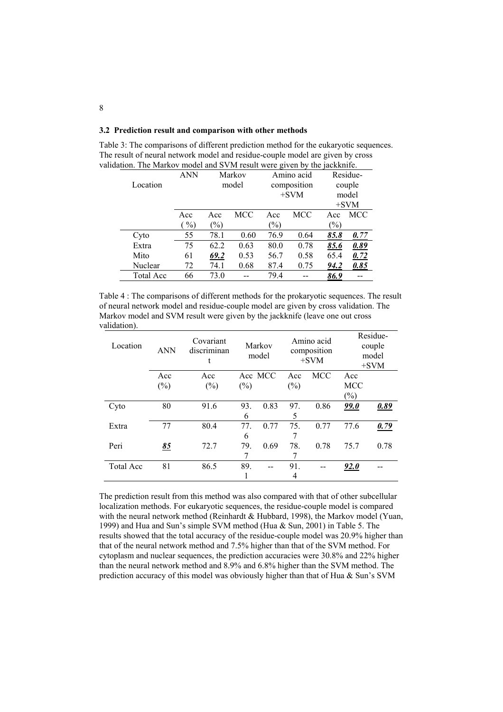### **3.2 Prediction result and comparison with other methods**

Table 3: The comparisons of different prediction method for the eukaryotic sequences. The result of neural network model and residue-couple model are given by cross validation. The Markov model and SVM result were given by the jackknife.

|                  | ANN  | Markov |       |               | Amino acid  | Residue- |            |
|------------------|------|--------|-------|---------------|-------------|----------|------------|
| Location         |      |        | model |               | composition | couple   |            |
|                  |      |        |       |               | $+SVM$      |          | model      |
|                  |      |        |       |               |             |          | $+SVM$     |
|                  | Acc  | Acc    | MCC   | Acc           | MCC         | Acc      | <b>MCC</b> |
|                  | $\%$ | $(\%)$ |       | $\frac{1}{2}$ |             | $\%$     |            |
| Cyto             | 55   | 78.1   | 0.60  | 76.9          | 0.64        | 85.8     | 0.77       |
| Extra            | 75   | 62.2   | 0.63  | 80.0          | 0.78        | 85.6     | 0.89       |
| Mito             | 61   | 69.2   | 0.53  | 56.7          | 0.58        | 65.4     | 0.72       |
| Nuclear          | 72   | 74.1   | 0.68  | 87.4          | 0.75        | 94.2     | 0.85       |
| <b>Total Acc</b> | 66   | 73.0   |       | 79.4          |             | 86.9     |            |

Table 4 : The comparisons of different methods for the prokaryotic sequences. The result of neural network model and residue-couple model are given by cross validation. The Markov model and SVM result were given by the jackknife (leave one out cross validation).

| Location         | <b>ANN</b> | Covariant<br>discriminan<br>t | Markov<br>model |         |        | Amino acid<br>composition<br>$+SVM$ | Residue-<br>couple<br>model<br>$+SVM$ |      |
|------------------|------------|-------------------------------|-----------------|---------|--------|-------------------------------------|---------------------------------------|------|
|                  | Acc        | Acc                           |                 | Acc MCC | Acc    | MCC                                 | Acc                                   |      |
|                  | $(\%)$     | $(\%)$                        | $(\%)$          |         | $(\%)$ |                                     | <b>MCC</b>                            |      |
|                  |            |                               |                 |         |        |                                     | $\left(\frac{0}{0}\right)$            |      |
| Cyto             | 80         | 91.6                          | 93.             | 0.83    | 97.    | 0.86                                | 99.0                                  | 0.89 |
|                  |            |                               | 6               |         | 5      |                                     |                                       |      |
| Extra            | 77         | 80.4                          | 77.             | 0.77    | 75.    | 0.77                                | 77.6                                  | 0.79 |
|                  |            |                               | 6               |         | 7      |                                     |                                       |      |
| Peri             | 85         | 72.7                          | 79.             | 0.69    | 78.    | 0.78                                | 75.7                                  | 0.78 |
|                  |            |                               |                 |         |        |                                     |                                       |      |
| <b>Total Acc</b> | 81         | 86.5                          | 89.             |         | 91.    |                                     | <u>92.0</u>                           |      |
|                  |            |                               |                 |         | 4      |                                     |                                       |      |

The prediction result from this method was also compared with that of other subcellular localization methods. For eukaryotic sequences, the residue-couple model is compared with the neural network method (Reinhardt & Hubbard, 1998), the Markov model (Yuan, 1999) and Hua and Sun's simple SVM method (Hua & Sun, 2001) in Table 5. The results showed that the total accuracy of the residue-couple model was 20.9% higher than that of the neural network method and 7.5% higher than that of the SVM method. For cytoplasm and nuclear sequences, the prediction accuracies were 30.8% and 22% higher than the neural network method and 8.9% and 6.8% higher than the SVM method. The prediction accuracy of this model was obviously higher than that of Hua & Sun's SVM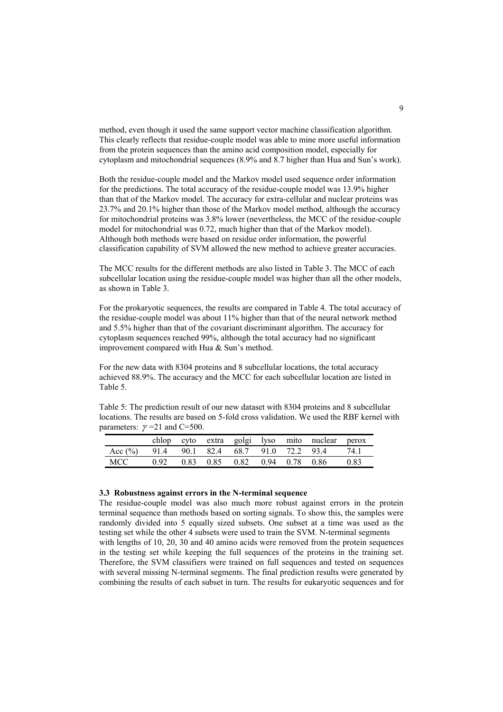method, even though it used the same support vector machine classification algorithm. This clearly reflects that residue-couple model was able to mine more useful information from the protein sequences than the amino acid composition model, especially for cytoplasm and mitochondrial sequences (8.9% and 8.7 higher than Hua and Sun's work).

Both the residue-couple model and the Markov model used sequence order information for the predictions. The total accuracy of the residue-couple model was 13.9% higher than that of the Markov model. The accuracy for extra-cellular and nuclear proteins was 23.7% and 20.1% higher than those of the Markov model method, although the accuracy for mitochondrial proteins was 3.8% lower (nevertheless, the MCC of the residue-couple model for mitochondrial was 0.72, much higher than that of the Markov model). Although both methods were based on residue order information, the powerful classification capability of SVM allowed the new method to achieve greater accuracies.

The MCC results for the different methods are also listed in Table 3. The MCC of each subcellular location using the residue-couple model was higher than all the other models, as shown in Table 3.

For the prokaryotic sequences, the results are compared in Table 4. The total accuracy of the residue-couple model was about 11% higher than that of the neural network method and 5.5% higher than that of the covariant discriminant algorithm. The accuracy for cytoplasm sequences reached 99%, although the total accuracy had no significant improvement compared with Hua & Sun's method.

For the new data with 8304 proteins and 8 subcellular locations, the total accuracy achieved 88.9%. The accuracy and the MCC for each subcellular location are listed in Table 5.

| Table 5: The prediction result of our new dataset with 8304 proteins and 8 subcellular   |
|------------------------------------------------------------------------------------------|
| locations. The results are based on 5-fold cross validation. We used the RBF kernel with |
| parameters: $\nu = 21$ and C=500.                                                        |

|                                                       | chlop |                               |  | cyto extra golgi lyso mito nuclear perox |      |
|-------------------------------------------------------|-------|-------------------------------|--|------------------------------------------|------|
| Acc $\binom{9}{0}$ 91.4 90.1 82.4 68.7 91.0 72.2 93.4 |       |                               |  |                                          | 74 I |
| MCC                                                   | 0.92  | 0.83 0.85 0.82 0.94 0.78 0.86 |  |                                          | 0.83 |

## **3.3 Robustness against errors in the N-terminal sequence**

The residue-couple model was also much more robust against errors in the protein terminal sequence than methods based on sorting signals. To show this, the samples were randomly divided into 5 equally sized subsets. One subset at a time was used as the testing set while the other 4 subsets were used to train the SVM. N-terminal segments with lengths of 10, 20, 30 and 40 amino acids were removed from the protein sequences in the testing set while keeping the full sequences of the proteins in the training set. Therefore, the SVM classifiers were trained on full sequences and tested on sequences with several missing N-terminal segments. The final prediction results were generated by combining the results of each subset in turn. The results for eukaryotic sequences and for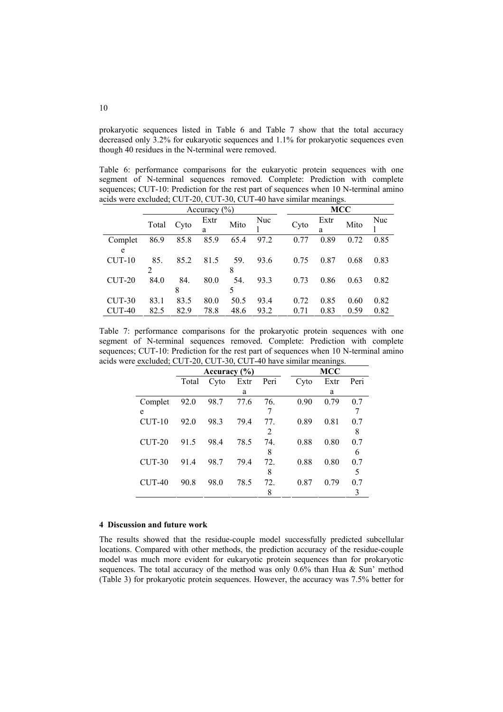prokaryotic sequences listed in Table 6 and Table 7 show that the total accuracy decreased only 3.2% for eukaryotic sequences and 1.1% for prokaryotic sequences even though 40 residues in the N-terminal were removed.

Table 6: performance comparisons for the eukaryotic protein sequences with one segment of N-terminal sequences removed. Complete: Prediction with complete sequences; CUT-10: Prediction for the rest part of sequences when 10 N-terminal amino acids were excluded; CUT-20, CUT-30, CUT-40 have similar meanings.

|          |       | Accuracy $(\% )$ |           |      |      |  |      | MCC       |      |      |  |  |
|----------|-------|------------------|-----------|------|------|--|------|-----------|------|------|--|--|
|          | Total | Cyto             | Extr<br>a | Mito | Nuc  |  | Cyto | Extr<br>a | Mito | Nuc  |  |  |
| Complet  | 86.9  | 85.8             | 85.9      | 65.4 | 97.2 |  | 0.77 | 0.89      | 0.72 | 0.85 |  |  |
| e        |       |                  |           |      |      |  |      |           |      |      |  |  |
| $CUT-10$ | 85.   | 85.2             | 81.5      | 59.  | 93.6 |  | 0.75 | 0.87      | 0.68 | 0.83 |  |  |
|          |       |                  |           | 8    |      |  |      |           |      |      |  |  |
| $CUT-20$ | 84.0  | 84.              | 80.0      | 54.  | 93.3 |  | 0.73 | 0.86      | 0.63 | 0.82 |  |  |
|          |       | 8                |           | 5    |      |  |      |           |      |      |  |  |
| $CUT-30$ | 83.1  | 83.5             | 80.0      | 50.5 | 93.4 |  | 0.72 | 0.85      | 0.60 | 0.82 |  |  |
| $CUT-40$ | 82.5  | 82.9             | 78.8      | 48.6 | 93.2 |  | 0.71 | 0.83      | 0.59 | 0.82 |  |  |

Table 7: performance comparisons for the prokaryotic protein sequences with one segment of N-terminal sequences removed. Complete: Prediction with complete sequences; CUT-10: Prediction for the rest part of sequences when 10 N-terminal amino acids were excluded; CUT-20, CUT-30, CUT-40 have similar meanings.

|           |       | Accuracy $(\% )$ |      | MCC  |      |      |      |  |
|-----------|-------|------------------|------|------|------|------|------|--|
|           | Total | Cyto             | Extr | Peri | Cyto | Extr | Peri |  |
|           |       |                  | a    |      |      | a    |      |  |
| Complet   | 92.0  | 98.7             | 77.6 | 76.  | 0.90 | 0.79 | 0.7  |  |
| e         |       |                  |      |      |      |      |      |  |
| $CUT-10$  | 92.0  | 98.3             | 794  | 77   | 0.89 | 0.81 | 0.7  |  |
|           |       |                  |      | 2    |      |      | 8    |  |
| $CUT-20$  | 91.5  | 98.4             | 78.5 | 74.  | 0.88 | 0.80 | 0.7  |  |
|           |       |                  |      | 8    |      |      | 6    |  |
| $CLIT-30$ | 91.4  | 98.7             | 79.4 | 72   | 0.88 | 0.80 | 0.7  |  |
|           |       |                  |      | 8    |      |      | 5    |  |
| $CIIT-40$ | 90.8  | 98.0             | 78.5 | 72.  | 0.87 | 0.79 | 0.7  |  |
|           |       |                  |      |      |      |      |      |  |

### **4 Discussion and future work**

The results showed that the residue-couple model successfully predicted subcellular locations. Compared with other methods, the prediction accuracy of the residue-couple model was much more evident for eukaryotic protein sequences than for prokaryotic sequences. The total accuracy of the method was only  $0.6\%$  than Hua & Sun' method (Table 3) for prokaryotic protein sequences. However, the accuracy was 7.5% better for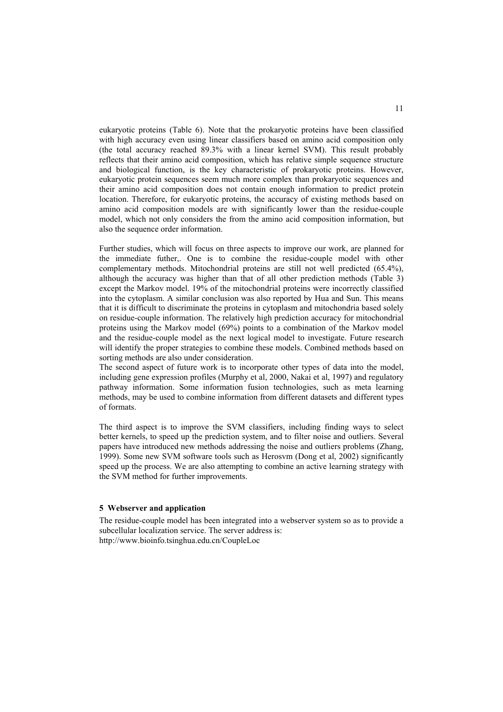eukaryotic proteins (Table 6). Note that the prokaryotic proteins have been classified with high accuracy even using linear classifiers based on amino acid composition only (the total accuracy reached 89.3% with a linear kernel SVM). This result probably reflects that their amino acid composition, which has relative simple sequence structure and biological function, is the key characteristic of prokaryotic proteins. However, eukaryotic protein sequences seem much more complex than prokaryotic sequences and their amino acid composition does not contain enough information to predict protein location. Therefore, for eukaryotic proteins, the accuracy of existing methods based on amino acid composition models are with significantly lower than the residue-couple model, which not only considers the from the amino acid composition information, but also the sequence order information.

Further studies, which will focus on three aspects to improve our work, are planned for the immediate futher,. One is to combine the residue-couple model with other complementary methods. Mitochondrial proteins are still not well predicted (65.4%), although the accuracy was higher than that of all other prediction methods (Table 3) except the Markov model. 19% of the mitochondrial proteins were incorrectly classified into the cytoplasm. A similar conclusion was also reported by Hua and Sun. This means that it is difficult to discriminate the proteins in cytoplasm and mitochondria based solely on residue-couple information. The relatively high prediction accuracy for mitochondrial proteins using the Markov model (69%) points to a combination of the Markov model and the residue-couple model as the next logical model to investigate. Future research will identify the proper strategies to combine these models. Combined methods based on sorting methods are also under consideration.

The second aspect of future work is to incorporate other types of data into the model, including gene expression profiles (Murphy et al, 2000, Nakai et al, 1997) and regulatory pathway information. Some information fusion technologies, such as meta learning methods, may be used to combine information from different datasets and different types of formats.

The third aspect is to improve the SVM classifiers, including finding ways to select better kernels, to speed up the prediction system, and to filter noise and outliers. Several papers have introduced new methods addressing the noise and outliers problems (Zhang, 1999). Some new SVM software tools such as Herosvm (Dong et al, 2002) significantly speed up the process. We are also attempting to combine an active learning strategy with the SVM method for further improvements.

## **5 Webserver and application**

The residue-couple model has been integrated into a webserver system so as to provide a subcellular localization service. The server address is: http://www.bioinfo.tsinghua.edu.cn/CoupleLoc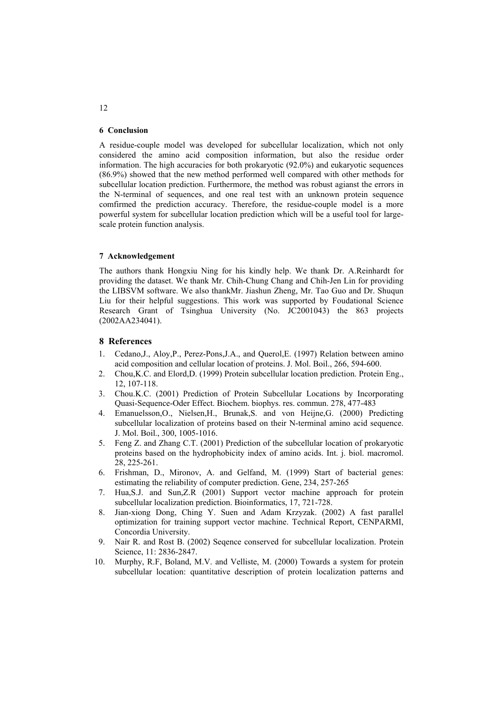#### **6 Conclusion**

A residue-couple model was developed for subcellular localization, which not only considered the amino acid composition information, but also the residue order information. The high accuracies for both prokaryotic (92.0%) and eukaryotic sequences (86.9%) showed that the new method performed well compared with other methods for subcellular location prediction. Furthermore, the method was robust agianst the errors in the N-terminal of sequences, and one real test with an unknown protein sequence comfirmed the prediction accuracy. Therefore, the residue-couple model is a more powerful system for subcellular location prediction which will be a useful tool for largescale protein function analysis.

### **7 Acknowledgement**

The authors thank Hongxiu Ning for his kindly help. We thank Dr. A.Reinhardt for providing the dataset. We thank Mr. Chih-Chung Chang and [Chih-Jen Lin](http://www.csie.ntu.edu.tw/~cjlin) for providing the LIBSVM software. We also thankMr. Jiashun Zheng, Mr. Tao Guo and Dr. Shuqun Liu for their helpful suggestions. This work was supported by Foudational Science Research Grant of Tsinghua University (No. JC2001043) the 863 projects (2002AA234041).

### **8 References**

- 1. Cedano,J., Aloy,P., Perez-Pons,J.A., and Querol,E. (1997) Relation between amino acid composition and cellular location of proteins. J. Mol. Boil., 266, 594-600.
- 2. Chou,K.C. and Elord,D. (1999) Protein subcellular location prediction. Protein Eng., 12, 107-118.
- 3. Chou.K.C. (2001) Prediction of Protein Subcellular Locations by Incorporating Quasi-Sequence-Oder Effect. Biochem. biophys. res. commun. 278, 477-483
- 4. Emanuelsson,O., Nielsen,H., Brunak,S. and von Heijne,G. (2000) Predicting subcellular localization of proteins based on their N-terminal amino acid sequence. J. Mol. Boil., 300, 1005-1016.
- 5. Feng Z. and Zhang C.T. (2001) Prediction of the subcellular location of prokaryotic proteins based on the hydrophobicity index of amino acids. Int. j. biol. macromol. 28, 225-261.
- 6. Frishman, D., Mironov, A. and Gelfand, M. (1999) Start of bacterial genes: estimating the reliability of computer prediction. Gene, 234, 257-265
- 7. Hua,S.J. and Sun,Z.R (2001) Support vector machine approach for protein subcellular localization prediction. Bioinformatics, 17, 721-728.
- 8. Jian-xiong Dong, Ching Y. Suen and Adam Krzyzak. (2002) A fast parallel optimization for training support vector machine. Technical Report, CENPARMI, Concordia University.
- 9. Nair R. and Rost B. (2002) Seqence conserved for subcellular localization. Protein Science, 11: 2836-2847.
- 10. Murphy, R.F, Boland, M.V. and Velliste, M. (2000) Towards a system for protein subcellular location: quantitative description of protein localization patterns and

12